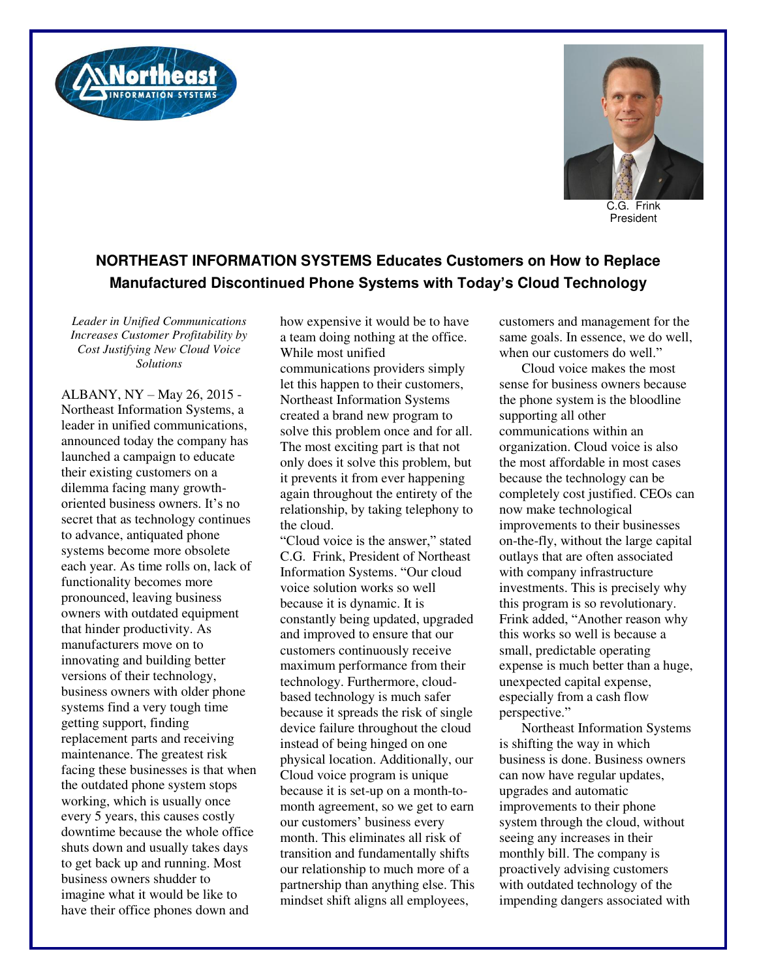



C.G. Frink President

## **NORTHEAST INFORMATION SYSTEMS Educates Customers on How to Replace Manufactured Discontinued Phone Systems with Today's Cloud Technology**

*Leader in Unified Communications Increases Customer Profitability by Cost Justifying New Cloud Voice Solutions* 

ALBANY, NY – May 26, 2015 - Northeast Information Systems, a leader in unified communications, announced today the company has launched a campaign to educate their existing customers on a dilemma facing many growthoriented business owners. It's no secret that as technology continues to advance, antiquated phone systems become more obsolete each year. As time rolls on, lack of functionality becomes more pronounced, leaving business owners with outdated equipment that hinder productivity. As manufacturers move on to innovating and building better versions of their technology, business owners with older phone systems find a very tough time getting support, finding replacement parts and receiving maintenance. The greatest risk facing these businesses is that when the outdated phone system stops working, which is usually once every 5 years, this causes costly downtime because the whole office shuts down and usually takes days to get back up and running. Most business owners shudder to imagine what it would be like to have their office phones down and

how expensive it would be to have a team doing nothing at the office. While most unified

communications providers simply let this happen to their customers, Northeast Information Systems created a brand new program to solve this problem once and for all. The most exciting part is that not only does it solve this problem, but it prevents it from ever happening again throughout the entirety of the relationship, by taking telephony to the cloud.

"Cloud voice is the answer," stated C.G. Frink, President of Northeast Information Systems. "Our cloud voice solution works so well because it is dynamic. It is constantly being updated, upgraded and improved to ensure that our customers continuously receive maximum performance from their technology. Furthermore, cloudbased technology is much safer because it spreads the risk of single device failure throughout the cloud instead of being hinged on one physical location. Additionally, our Cloud voice program is unique because it is set-up on a month-tomonth agreement, so we get to earn our customers' business every month. This eliminates all risk of transition and fundamentally shifts our relationship to much more of a partnership than anything else. This mindset shift aligns all employees,

customers and management for the same goals. In essence, we do well, when our customers do well."

Cloud voice makes the most sense for business owners because the phone system is the bloodline supporting all other communications within an organization. Cloud voice is also the most affordable in most cases because the technology can be completely cost justified. CEOs can now make technological improvements to their businesses on-the-fly, without the large capital outlays that are often associated with company infrastructure investments. This is precisely why this program is so revolutionary. Frink added, "Another reason why this works so well is because a small, predictable operating expense is much better than a huge, unexpected capital expense, especially from a cash flow perspective."

Northeast Information Systems is shifting the way in which business is done. Business owners can now have regular updates, upgrades and automatic improvements to their phone system through the cloud, without seeing any increases in their monthly bill. The company is proactively advising customers with outdated technology of the impending dangers associated with